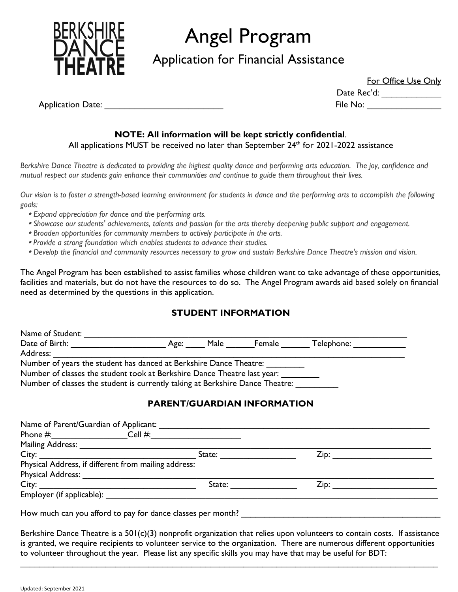

# Angel Program

Application for Financial Assistance

For Office Use Only

Date Rec'd: \_\_\_\_\_\_\_\_\_\_\_\_\_\_\_\_

Application Date: \_\_\_\_\_\_\_\_\_\_\_\_\_\_\_\_\_\_\_\_\_\_\_\_ File No: \_\_\_\_\_\_\_\_\_\_\_\_\_\_\_

### **NOTE: All information will be kept strictly confidential**.

All applications MUST be received no later than September 24<sup>th</sup> for 2021-2022 assistance

*Berkshire Dance Theatre is dedicated to providing the highest quality dance and performing arts education. The joy, confidence and mutual respect our students gain enhance their communities and continue to guide them throughout their lives.*

*Our vision is to foster a strength-based learning environment for students in dance and the performing arts to accomplish the following goals:*

- *Expand appreciation for dance and the performing arts.*
- *Showcase our students' achievements, talents and passion for the arts thereby deepening public support and engagement.*
- *Broaden opportunities for community members to actively participate in the arts.*
- *Provide a strong foundation which enables students to advance their studies.*
- *Develop the financial and community resources necessary to grow and sustain Berkshire Dance Theatre's mission and vision.*

The Angel Program has been established to assist families whose children want to take advantage of these opportunities, facilities and materials, but do not have the resources to do so. The Angel Program awards aid based solely on financial need as determined by the questions in this application.

## **STUDENT INFORMATION**

| Name of Student:                                                              |           |        |            |
|-------------------------------------------------------------------------------|-----------|--------|------------|
| Date of Birth:                                                                | Age: Male | Female | Telephone: |
| Address:                                                                      |           |        |            |
| Number of years the student has danced at Berkshire Dance Theatre:            |           |        |            |
| Number of classes the student took at Berkshire Dance Theatre last year:      |           |        |            |
| Number of classes the student is currently taking at Berkshire Dance Theatre: |           |        |            |

## **PARENT/GUARDIAN INFORMATION**

| Name of Parent/Guardian of Applicant:                |        |                              |  |
|------------------------------------------------------|--------|------------------------------|--|
| Phone #: Cell #:                                     |        |                              |  |
|                                                      |        |                              |  |
| City:                                                | State: | Zip: _______________________ |  |
| Physical Address, if different from mailing address: |        |                              |  |
|                                                      |        |                              |  |
| City:                                                | State: | Zip:                         |  |
| Employer (if applicable):                            |        |                              |  |
|                                                      |        |                              |  |

How much can you afford to pay for dance classes per month? \_\_\_\_\_\_\_\_\_\_\_\_\_\_\_\_\_\_\_\_

Berkshire Dance Theatre is a 501(c)(3) nonprofit organization that relies upon volunteers to contain costs. If assistance is granted, we require recipients to volunteer service to the organization. There are numerous different opportunities to volunteer throughout the year. Please list any specific skills you may have that may be useful for BDT:

 $\_$  , and the set of the set of the set of the set of the set of the set of the set of the set of the set of the set of the set of the set of the set of the set of the set of the set of the set of the set of the set of th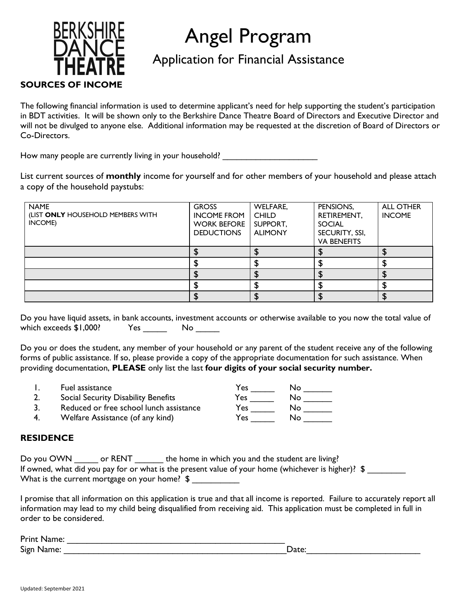

# Angel Program

## Application for Financial Assistance

The following financial information is used to determine applicant's need for help supporting the student's participation in BDT activities. It will be shown only to the Berkshire Dance Theatre Board of Directors and Executive Director and will not be divulged to anyone else. Additional information may be requested at the discretion of Board of Directors or Co-Directors.

How many people are currently living in your household? \_\_\_\_\_\_\_\_\_\_\_\_\_\_\_\_\_\_\_\_\_\_\_\_

List current sources of **monthly** income for yourself and for other members of your household and please attach a copy of the household paystubs:

| <b>NAME</b><br>(LIST ONLY HOUSEHOLD MEMBERS WITH<br>INCOME) | <b>GROSS</b><br><b>INCOME FROM</b><br><b>WORK BEFORE</b><br><b>DEDUCTIONS</b> | <b>WELFARE,</b><br><b>CHILD</b><br>SUPPORT,<br><b>ALIMONY</b> | PENSIONS,<br>RETIREMENT,<br><b>SOCIAL</b><br>SECURITY, SSI,<br><b>VA BENEFITS</b> | <b>ALL OTHER</b><br><b>INCOME</b> |
|-------------------------------------------------------------|-------------------------------------------------------------------------------|---------------------------------------------------------------|-----------------------------------------------------------------------------------|-----------------------------------|
|                                                             |                                                                               |                                                               |                                                                                   |                                   |
|                                                             |                                                                               |                                                               |                                                                                   |                                   |
|                                                             |                                                                               |                                                               |                                                                                   |                                   |
|                                                             |                                                                               |                                                               |                                                                                   |                                   |
|                                                             |                                                                               |                                                               |                                                                                   |                                   |

Do you have liquid assets, in bank accounts, investment accounts or otherwise available to you now the total value of which exceeds \$1,000? Yes No

Do you or does the student, any member of your household or any parent of the student receive any of the following forms of public assistance. If so, please provide a copy of the appropriate documentation for such assistance. When providing documentation, **PLEASE** only list the last **four digits of your social security number.**

- 
- 1. Fuel assistance Yes \_\_\_\_\_ No \_\_\_\_\_\_
- 2. Social Security Disability Benefits Yes \_\_\_\_\_ No \_\_\_\_\_\_ 3. Reduced or free school lunch assistance
- 4. Welfare Assistance (of any kind)

## **RESIDENCE**

| Do you OWN | or RENT                                                        | the home in which you and the student are living?                                                  |
|------------|----------------------------------------------------------------|----------------------------------------------------------------------------------------------------|
|            |                                                                | If owned, what did you pay for or what is the present value of your home (whichever is higher)? \$ |
|            | What is the current mortgage on your home? $\,$ $\,$ $\,$ $\,$ |                                                                                                    |

I promise that all information on this application is true and that all income is reported. Failure to accurately report all information may lead to my child being disqualified from receiving aid. This application must be completed in full in order to be considered.

| Print Name: |      |
|-------------|------|
| Sign Name:  | Jate |